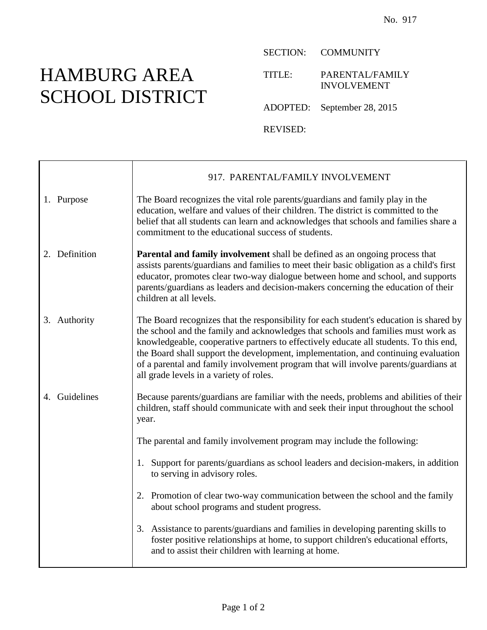## HAMBURG AREA SCHOOL DISTRICT

SECTION: COMMUNITY

TITLE: PARENTAL/FAMILY INVOLVEMENT

ADOPTED: September 28, 2015

REVISED:

|               | 917. PARENTAL/FAMILY INVOLVEMENT                                                                                                                                                                                                                                                                                                                                                                                                                                                             |
|---------------|----------------------------------------------------------------------------------------------------------------------------------------------------------------------------------------------------------------------------------------------------------------------------------------------------------------------------------------------------------------------------------------------------------------------------------------------------------------------------------------------|
| 1. Purpose    | The Board recognizes the vital role parents/guardians and family play in the<br>education, welfare and values of their children. The district is committed to the<br>belief that all students can learn and acknowledges that schools and families share a<br>commitment to the educational success of students.                                                                                                                                                                             |
| 2. Definition | <b>Parental and family involvement</b> shall be defined as an ongoing process that<br>assists parents/guardians and families to meet their basic obligation as a child's first<br>educator, promotes clear two-way dialogue between home and school, and supports<br>parents/guardians as leaders and decision-makers concerning the education of their<br>children at all levels.                                                                                                           |
| 3. Authority  | The Board recognizes that the responsibility for each student's education is shared by<br>the school and the family and acknowledges that schools and families must work as<br>knowledgeable, cooperative partners to effectively educate all students. To this end,<br>the Board shall support the development, implementation, and continuing evaluation<br>of a parental and family involvement program that will involve parents/guardians at<br>all grade levels in a variety of roles. |
| 4. Guidelines | Because parents/guardians are familiar with the needs, problems and abilities of their<br>children, staff should communicate with and seek their input throughout the school<br>year.                                                                                                                                                                                                                                                                                                        |
|               | The parental and family involvement program may include the following:                                                                                                                                                                                                                                                                                                                                                                                                                       |
|               | Support for parents/guardians as school leaders and decision-makers, in addition<br>1.<br>to serving in advisory roles.                                                                                                                                                                                                                                                                                                                                                                      |
|               | 2. Promotion of clear two-way communication between the school and the family<br>about school programs and student progress.                                                                                                                                                                                                                                                                                                                                                                 |
|               | 3. Assistance to parents/guardians and families in developing parenting skills to<br>foster positive relationships at home, to support children's educational efforts,<br>and to assist their children with learning at home.                                                                                                                                                                                                                                                                |